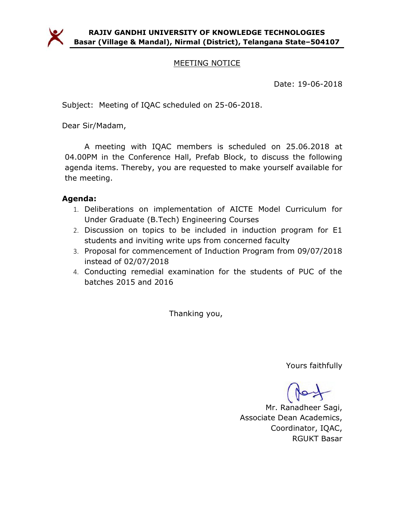

### MEETING NOTICE

Date: 19-06-2018

Subject: Meeting of IQAC scheduled on 25-06-2018.

Dear Sir/Madam,

A meeting with IQAC members is scheduled on 25.06.2018 at 04.00PM in the Conference Hall, Prefab Block, to discuss the following agenda items. Thereby, you are requested to make yourself available for the meeting.

#### Agenda:

- 1. Deliberations on implementation of AICTE Model Curriculum for Under Graduate (B.Tech) Engineering Courses
- 2. Discussion on topics to be included in induction program for E1 students and inviting write ups from concerned faculty
- 3. Proposal for commencement of Induction Program from 09/07/2018 instead of 02/07/2018
- 4. Conducting remedial examination for the students of PUC of the batches 2015 and 2016

Thanking you,

Yours faithfully

Mr. Ranadheer Sagi, Associate Dean Academics, Coordinator, IQAC, RGUKT Basar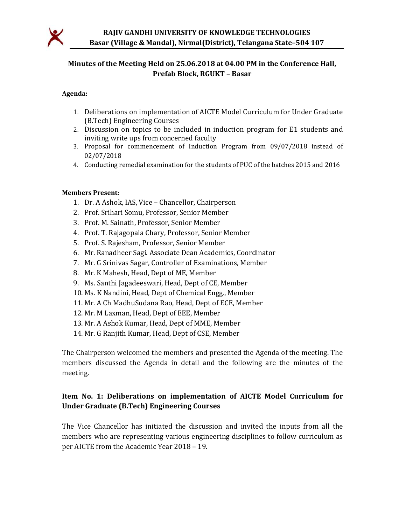

## Minutes of the Meeting Held on 25.06.2018 at 04.00 PM in the Conference Hall, Prefab Block, RGUKT – Basar

#### Agenda:

- 1. Deliberations on implementation of AICTE Model Curriculum for Under Graduate (B.Tech) Engineering Courses
- 2. Discussion on topics to be included in induction program for E1 students and inviting write ups from concerned faculty
- 3. Proposal for commencement of Induction Program from 09/07/2018 instead of 02/07/2018
- 4. Conducting remedial examination for the students of PUC of the batches 2015 and 2016

#### Members Present:

- 1. Dr. A Ashok, IAS, Vice Chancellor, Chairperson
- 2. Prof. Srihari Somu, Professor, Senior Member
- 3. Prof. M. Sainath, Professor, Senior Member
- 4. Prof. T. Rajagopala Chary, Professor, Senior Member
- 5. Prof. S. Rajesham, Professor, Senior Member
- 6. Mr. Ranadheer Sagi. Associate Dean Academics, Coordinator
- 7. Mr. G Srinivas Sagar, Controller of Examinations, Member
- 8. Mr. K Mahesh, Head, Dept of ME, Member
- 9. Ms. Santhi Jagadeeswari, Head, Dept of CE, Member
- 10. Ms. K Nandini, Head, Dept of Chemical Engg., Member
- 11. Mr. A Ch MadhuSudana Rao, Head, Dept of ECE, Member
- 12. Mr. M Laxman, Head, Dept of EEE, Member
- 13. Mr. A Ashok Kumar, Head, Dept of MME, Member
- 14. Mr. G Ranjith Kumar, Head, Dept of CSE, Member

The Chairperson welcomed the members and presented the Agenda of the meeting. The members discussed the Agenda in detail and the following are the minutes of the meeting.

#### Item No. 1: Deliberations on implementation of AICTE Model Curriculum for Under Graduate (B.Tech) Engineering Courses

The Vice Chancellor has initiated the discussion and invited the inputs from all the members who are representing various engineering disciplines to follow curriculum as per AICTE from the Academic Year 2018 – 19.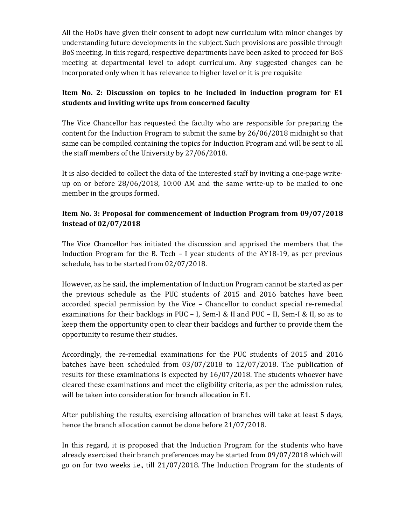All the HoDs have given their consent to adopt new curriculum with minor changes by understanding future developments in the subject. Such provisions are possible through BoS meeting. In this regard, respective departments have been asked to proceed for BoS meeting at departmental level to adopt curriculum. Any suggested changes can be incorporated only when it has relevance to higher level or it is pre requisite

#### Item No. 2: Discussion on topics to be included in induction program for E1 students and inviting write ups from concerned faculty

The Vice Chancellor has requested the faculty who are responsible for preparing the content for the Induction Program to submit the same by 26/06/2018 midnight so that same can be compiled containing the topics for Induction Program and will be sent to all the staff members of the University by 27/06/2018.

It is also decided to collect the data of the interested staff by inviting a one-page writeup on or before 28/06/2018, 10:00 AM and the same write-up to be mailed to one member in the groups formed.

## Item No. 3: Proposal for commencement of Induction Program from 09/07/2018 instead of 02/07/2018

The Vice Chancellor has initiated the discussion and apprised the members that the Induction Program for the B. Tech – I year students of the AY18-19, as per previous schedule, has to be started from 02/07/2018.

However, as he said, the implementation of Induction Program cannot be started as per the previous schedule as the PUC students of 2015 and 2016 batches have been accorded special permission by the Vice – Chancellor to conduct special re-remedial examinations for their backlogs in PUC – I, Sem-I & II and PUC – II, Sem-I & II, so as to keep them the opportunity open to clear their backlogs and further to provide them the opportunity to resume their studies.

Accordingly, the re-remedial examinations for the PUC students of 2015 and 2016 batches have been scheduled from 03/07/2018 to 12/07/2018. The publication of results for these examinations is expected by 16/07/2018. The students whoever have cleared these examinations and meet the eligibility criteria, as per the admission rules, will be taken into consideration for branch allocation in E1.

After publishing the results, exercising allocation of branches will take at least 5 days, hence the branch allocation cannot be done before 21/07/2018.

In this regard, it is proposed that the Induction Program for the students who have already exercised their branch preferences may be started from 09/07/2018 which will go on for two weeks i.e., till 21/07/2018. The Induction Program for the students of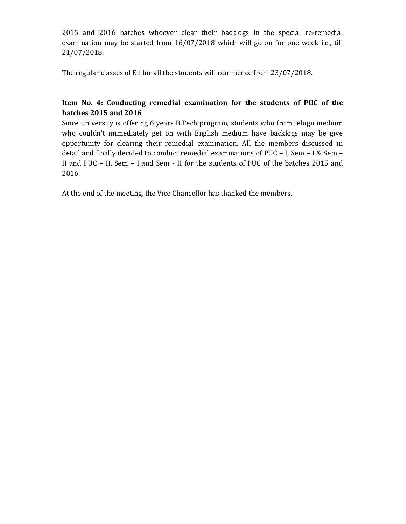2015 and 2016 batches whoever clear their backlogs in the special re-remedial examination may be started from 16/07/2018 which will go on for one week i.e., till 21/07/2018.

The regular classes of E1 for all the students will commence from 23/07/2018.

## Item No. 4: Conducting remedial examination for the students of PUC of the batches 2015 and 2016

Since university is offering 6 years B.Tech program, students who from telugu medium who couldn't immediately get on with English medium have backlogs may be give opportunity for clearing their remedial examination. All the members discussed in detail and finally decided to conduct remedial examinations of PUC – I, Sem – I & Sem – II and PUC – II, Sem – I and Sem - II for the students of PUC of the batches 2015 and 2016.

At the end of the meeting, the Vice Chancellor has thanked the members.